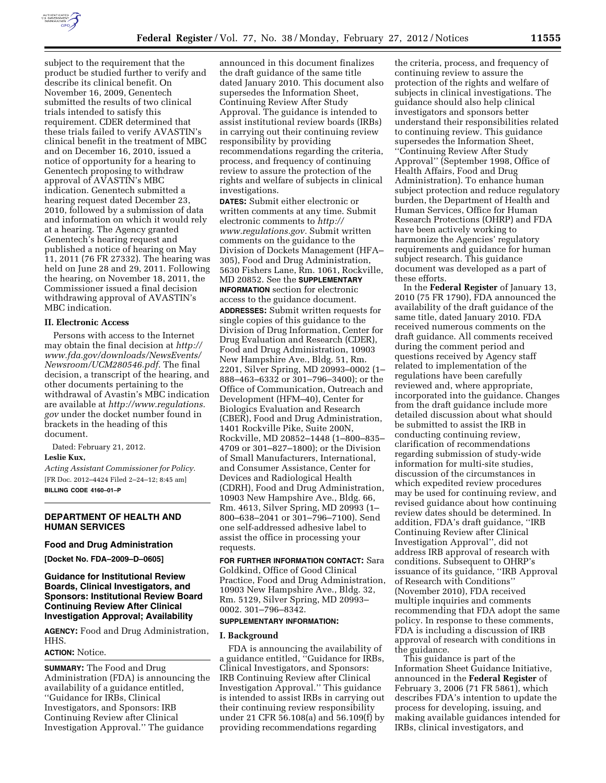

subject to the requirement that the product be studied further to verify and describe its clinical benefit. On November 16, 2009, Genentech submitted the results of two clinical trials intended to satisfy this requirement. CDER determined that these trials failed to verify AVASTIN's clinical benefit in the treatment of MBC and on December 16, 2010, issued a notice of opportunity for a hearing to Genentech proposing to withdraw approval of AVASTIN's MBC indication. Genentech submitted a hearing request dated December 23, 2010, followed by a submission of data and information on which it would rely at a hearing. The Agency granted Genentech's hearing request and published a notice of hearing on May 11, 2011 (76 FR 27332). The hearing was held on June 28 and 29, 2011. Following the hearing, on November 18, 2011, the Commissioner issued a final decision withdrawing approval of AVASTIN's MBC indication.

### **II. Electronic Access**

Persons with access to the Internet may obtain the final decision at *[http://](http://www.fda.gov/downloads/NewsEvents/Newsroom/UCM280546.pdf) [www.fda.gov/downloads/NewsEvents/](http://www.fda.gov/downloads/NewsEvents/Newsroom/UCM280546.pdf) [Newsroom/UCM280546.pdf.](http://www.fda.gov/downloads/NewsEvents/Newsroom/UCM280546.pdf)* The final decision, a transcript of the hearing, and other documents pertaining to the withdrawal of Avastin's MBC indication are available at *[http://www.regulations.](http://www.regulations.gov) [gov](http://www.regulations.gov)* under the docket number found in brackets in the heading of this document.

Dated: February 21, 2012.

### **Leslie Kux,**

*Acting Assistant Commissioner for Policy.*  [FR Doc. 2012–4424 Filed 2–24–12; 8:45 am] **BILLING CODE 4160–01–P** 

## **DEPARTMENT OF HEALTH AND HUMAN SERVICES**

### **Food and Drug Administration**

**[Docket No. FDA–2009–D–0605]** 

## **Guidance for Institutional Review Boards, Clinical Investigators, and Sponsors: Institutional Review Board Continuing Review After Clinical Investigation Approval; Availability**

**AGENCY:** Food and Drug Administration, HHS.

## **ACTION:** Notice.

**SUMMARY:** The Food and Drug Administration (FDA) is announcing the availability of a guidance entitled, ''Guidance for IRBs, Clinical Investigators, and Sponsors: IRB Continuing Review after Clinical Investigation Approval.'' The guidance

announced in this document finalizes the draft guidance of the same title dated January 2010. This document also supersedes the Information Sheet, Continuing Review After Study Approval. The guidance is intended to assist institutional review boards (IRBs) in carrying out their continuing review responsibility by providing recommendations regarding the criteria, process, and frequency of continuing review to assure the protection of the rights and welfare of subjects in clinical investigations.

**DATES:** Submit either electronic or written comments at any time. Submit electronic comments to *[http://](http://www.regulations.gov) [www.regulations.gov.](http://www.regulations.gov)* Submit written comments on the guidance to the Division of Dockets Management (HFA– 305), Food and Drug Administration, 5630 Fishers Lane, Rm. 1061, Rockville, MD 20852. See the **SUPPLEMENTARY INFORMATION** section for electronic access to the guidance document. **ADDRESSES:** Submit written requests for single copies of this guidance to the Division of Drug Information, Center for Drug Evaluation and Research (CDER), Food and Drug Administration, 10903 New Hampshire Ave., Bldg. 51, Rm. 2201, Silver Spring, MD 20993–0002 (1– 888–463–6332 or 301–796–3400); or the Office of Communication, Outreach and Development (HFM–40), Center for Biologics Evaluation and Research (CBER), Food and Drug Administration, 1401 Rockville Pike, Suite 200N, Rockville, MD 20852–1448 (1–800–835– 4709 or 301–827–1800); or the Division of Small Manufacturers, International, and Consumer Assistance, Center for Devices and Radiological Health (CDRH), Food and Drug Administration, 10903 New Hampshire Ave., Bldg. 66, Rm. 4613, Silver Spring, MD 20993 (1– 800–638–2041 or 301–796–7100). Send one self-addressed adhesive label to assist the office in processing your requests.

**FOR FURTHER INFORMATION CONTACT:** Sara Goldkind, Office of Good Clinical Practice, Food and Drug Administration, 10903 New Hampshire Ave., Bldg. 32, Rm. 5129, Silver Spring, MD 20993– 0002. 301–796–8342.

## **SUPPLEMENTARY INFORMATION:**

## **I. Background**

FDA is announcing the availability of a guidance entitled, ''Guidance for IRBs, Clinical Investigators, and Sponsors: IRB Continuing Review after Clinical Investigation Approval.'' This guidance is intended to assist IRBs in carrying out their continuing review responsibility under 21 CFR 56.108(a) and 56.109(f) by providing recommendations regarding

the criteria, process, and frequency of continuing review to assure the protection of the rights and welfare of subjects in clinical investigations. The guidance should also help clinical investigators and sponsors better understand their responsibilities related to continuing review. This guidance supersedes the Information Sheet, ''Continuing Review After Study Approval'' (September 1998, Office of Health Affairs, Food and Drug Administration). To enhance human subject protection and reduce regulatory burden, the Department of Health and Human Services, Office for Human Research Protections (OHRP) and FDA have been actively working to harmonize the Agencies' regulatory requirements and guidance for human subject research. This guidance document was developed as a part of these efforts.

In the **Federal Register** of January 13, 2010 (75 FR 1790), FDA announced the availability of the draft guidance of the same title, dated January 2010. FDA received numerous comments on the draft guidance. All comments received during the comment period and questions received by Agency staff related to implementation of the regulations have been carefully reviewed and, where appropriate, incorporated into the guidance. Changes from the draft guidance include more detailed discussion about what should be submitted to assist the IRB in conducting continuing review, clarification of recommendations regarding submission of study-wide information for multi-site studies, discussion of the circumstances in which expedited review procedures may be used for continuing review, and revised guidance about how continuing review dates should be determined. In addition, FDA's draft guidance, ''IRB Continuing Review after Clinical Investigation Approval'', did not address IRB approval of research with conditions. Subsequent to OHRP's issuance of its guidance, ''IRB Approval of Research with Conditions'' (November 2010), FDA received multiple inquiries and comments recommending that FDA adopt the same policy. In response to these comments, FDA is including a discussion of IRB approval of research with conditions in the guidance.

This guidance is part of the Information Sheet Guidance Initiative, announced in the **Federal Register** of February 3, 2006 (71 FR 5861), which describes FDA's intention to update the process for developing, issuing, and making available guidances intended for IRBs, clinical investigators, and